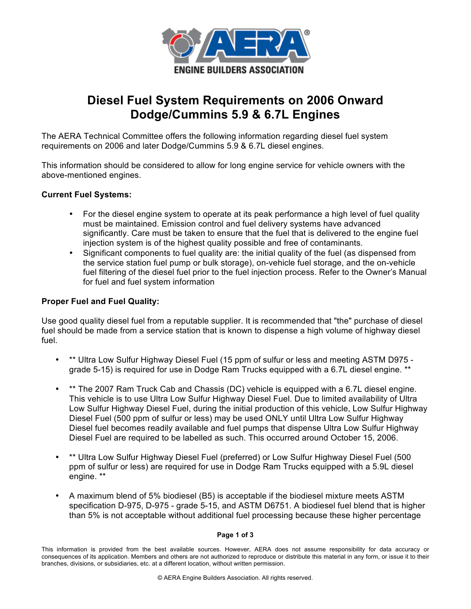

# **Diesel Fuel System Requirements on 2006 Onward Dodge/Cummins 5.9 & 6.7L Engines**

The AERA Technical Committee offers the following information regarding diesel fuel system requirements on 2006 and later Dodge/Cummins 5.9 & 6.7L diesel engines.

This information should be considered to allow for long engine service for vehicle owners with the above-mentioned engines.

# **Current Fuel Systems:**

- For the diesel engine system to operate at its peak performance a high level of fuel quality must be maintained. Emission control and fuel delivery systems have advanced significantly. Care must be taken to ensure that the fuel that is delivered to the engine fuel injection system is of the highest quality possible and free of contaminants.
- Significant components to fuel quality are: the initial quality of the fuel (as dispensed from the service station fuel pump or bulk storage), on-vehicle fuel storage, and the on-vehicle fuel filtering of the diesel fuel prior to the fuel injection process. Refer to the Owner's Manual for fuel and fuel system information

# **Proper Fuel and Fuel Quality:**

Use good quality diesel fuel from a reputable supplier. It is recommended that "the" purchase of diesel fuel should be made from a service station that is known to dispense a high volume of highway diesel fuel.

- \*\* Ultra Low Sulfur Highway Diesel Fuel (15 ppm of sulfur or less and meeting ASTM D975 grade 5-15) is required for use in Dodge Ram Trucks equipped with a 6.7L diesel engine. \*\*
- \*\* The 2007 Ram Truck Cab and Chassis (DC) vehicle is equipped with a 6.7L diesel engine. This vehicle is to use Ultra Low Sulfur Highway Diesel Fuel. Due to limited availability of Ultra Low Sulfur Highway Diesel Fuel, during the initial production of this vehicle, Low Sulfur Highway Diesel Fuel (500 ppm of sulfur or less) may be used ONLY until Ultra Low Sulfur Highway Diesel fuel becomes readily available and fuel pumps that dispense Ultra Low Sulfur Highway Diesel Fuel are required to be labelled as such. This occurred around October 15, 2006.
- \*\* Ultra Low Sulfur Highway Diesel Fuel (preferred) or Low Sulfur Highway Diesel Fuel (500 ppm of sulfur or less) are required for use in Dodge Ram Trucks equipped with a 5.9L diesel engine. \*\*
- A maximum blend of 5% biodiesel (B5) is acceptable if the biodiesel mixture meets ASTM specification D-975, D-975 - grade 5-15, and ASTM D6751. A biodiesel fuel blend that is higher than 5% is not acceptable without additional fuel processing because these higher percentage

## **Page 1 of 3**

This information is provided from the best available sources. However, AERA does not assume responsibility for data accuracy or consequences of its application. Members and others are not authorized to reproduce or distribute this material in any form, or issue it to their branches, divisions, or subsidiaries, etc. at a different location, without written permission.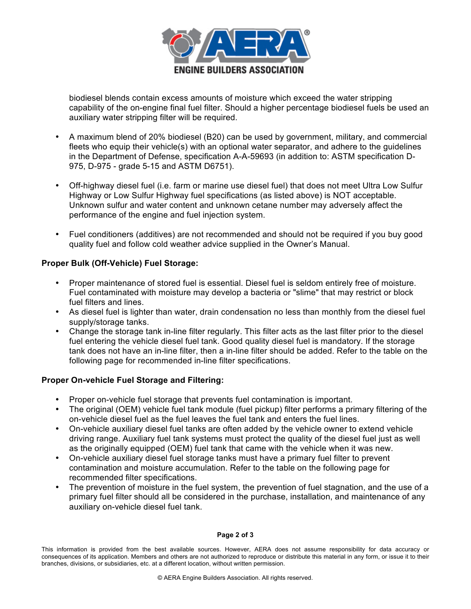

biodiesel blends contain excess amounts of moisture which exceed the water stripping capability of the on-engine final fuel filter. Should a higher percentage biodiesel fuels be used an auxiliary water stripping filter will be required.

- A maximum blend of 20% biodiesel (B20) can be used by government, military, and commercial fleets who equip their vehicle(s) with an optional water separator, and adhere to the guidelines in the Department of Defense, specification A-A-59693 (in addition to: ASTM specification D-975, D-975 - grade 5-15 and ASTM D6751).
- Off-highway diesel fuel (i.e. farm or marine use diesel fuel) that does not meet Ultra Low Sulfur Highway or Low Sulfur Highway fuel specifications (as listed above) is NOT acceptable. Unknown sulfur and water content and unknown cetane number may adversely affect the performance of the engine and fuel injection system.
- Fuel conditioners (additives) are not recommended and should not be required if you buy good quality fuel and follow cold weather advice supplied in the Owner's Manual.

# **Proper Bulk (Off-Vehicle) Fuel Storage:**

- Proper maintenance of stored fuel is essential. Diesel fuel is seldom entirely free of moisture. Fuel contaminated with moisture may develop a bacteria or "slime" that may restrict or block fuel filters and lines.
- As diesel fuel is lighter than water, drain condensation no less than monthly from the diesel fuel supply/storage tanks.
- Change the storage tank in-line filter regularly. This filter acts as the last filter prior to the diesel fuel entering the vehicle diesel fuel tank. Good quality diesel fuel is mandatory. If the storage tank does not have an in-line filter, then a in-line filter should be added. Refer to the table on the following page for recommended in-line filter specifications.

## **Proper On-vehicle Fuel Storage and Filtering:**

- Proper on-vehicle fuel storage that prevents fuel contamination is important.
- The original (OEM) vehicle fuel tank module (fuel pickup) filter performs a primary filtering of the on-vehicle diesel fuel as the fuel leaves the fuel tank and enters the fuel lines.
- On-vehicle auxiliary diesel fuel tanks are often added by the vehicle owner to extend vehicle driving range. Auxiliary fuel tank systems must protect the quality of the diesel fuel just as well as the originally equipped (OEM) fuel tank that came with the vehicle when it was new.
- On-vehicle auxiliary diesel fuel storage tanks must have a primary fuel filter to prevent contamination and moisture accumulation. Refer to the table on the following page for recommended filter specifications.
- The prevention of moisture in the fuel system, the prevention of fuel stagnation, and the use of a primary fuel filter should all be considered in the purchase, installation, and maintenance of any auxiliary on-vehicle diesel fuel tank.

## **Page 2 of 3**

This information is provided from the best available sources. However, AERA does not assume responsibility for data accuracy or consequences of its application. Members and others are not authorized to reproduce or distribute this material in any form, or issue it to their branches, divisions, or subsidiaries, etc. at a different location, without written permission.